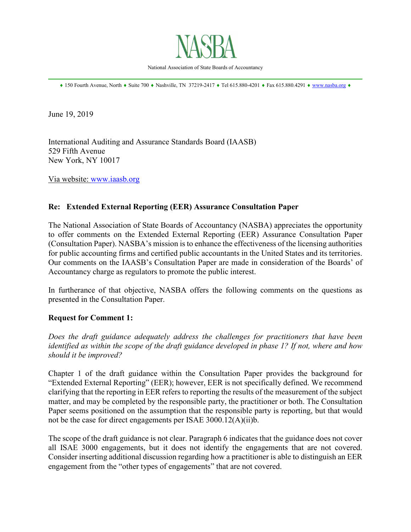

National Association of State Boards of Accountancy \_\_\_\_\_\_\_\_\_\_\_\_\_\_\_\_\_\_\_\_\_\_\_\_\_\_\_\_\_\_\_\_\_\_\_\_\_\_\_\_\_\_\_\_\_\_\_\_\_\_\_\_\_\_\_\_\_\_\_\_\_\_\_\_\_\_\_\_\_\_\_\_\_\_\_\_\_\_

♦ 150 Fourth Avenue, North ♦ Suite 700 ♦ Nashville, TN 37219-2417 ♦ Tel 615.880-4201 ♦ Fax 615.880.4291 ♦ [www.nasba.org](http://www.nasba.org/) ♦

June 19, 2019

International Auditing and Assurance Standards Board (IAASB) 529 Fifth Avenue New York, NY 10017

Via website: [www.iaasb.org](http://www.iaasb.org/)

# **Re: Extended External Reporting (EER) Assurance Consultation Paper**

The National Association of State Boards of Accountancy (NASBA) appreciates the opportunity to offer comments on the Extended External Reporting (EER) Assurance Consultation Paper (Consultation Paper). NASBA's mission is to enhance the effectiveness of the licensing authorities for public accounting firms and certified public accountants in the United States and its territories. Our comments on the IAASB's Consultation Paper are made in consideration of the Boards' of Accountancy charge as regulators to promote the public interest.

In furtherance of that objective, NASBA offers the following comments on the questions as presented in the Consultation Paper.

### **Request for Comment 1:**

*Does the draft guidance adequately address the challenges for practitioners that have been identified as within the scope of the draft guidance developed in phase 1? If not, where and how should it be improved?*

Chapter 1 of the draft guidance within the Consultation Paper provides the background for "Extended External Reporting" (EER); however, EER is not specifically defined. We recommend clarifying that the reporting in EER refers to reporting the results of the measurement of the subject matter, and may be completed by the responsible party, the practitioner or both. The Consultation Paper seems positioned on the assumption that the responsible party is reporting, but that would not be the case for direct engagements per ISAE 3000.12(A)(ii)b.

The scope of the draft guidance is not clear. Paragraph 6 indicates that the guidance does not cover all ISAE 3000 engagements, but it does not identify the engagements that are not covered. Consider inserting additional discussion regarding how a practitioner is able to distinguish an EER engagement from the "other types of engagements" that are not covered.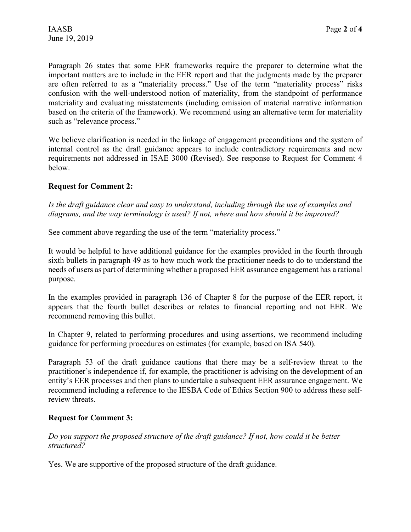Paragraph 26 states that some EER frameworks require the preparer to determine what the important matters are to include in the EER report and that the judgments made by the preparer are often referred to as a "materiality process." Use of the term "materiality process" risks confusion with the well-understood notion of materiality, from the standpoint of performance materiality and evaluating misstatements (including omission of material narrative information based on the criteria of the framework). We recommend using an alternative term for materiality such as "relevance process."

We believe clarification is needed in the linkage of engagement preconditions and the system of internal control as the draft guidance appears to include contradictory requirements and new requirements not addressed in ISAE 3000 (Revised). See response to Request for Comment 4 below.

### **Request for Comment 2:**

*Is the draft guidance clear and easy to understand, including through the use of examples and diagrams, and the way terminology is used? If not, where and how should it be improved?*

See comment above regarding the use of the term "materiality process."

It would be helpful to have additional guidance for the examples provided in the fourth through sixth bullets in paragraph 49 as to how much work the practitioner needs to do to understand the needs of users as part of determining whether a proposed EER assurance engagement has a rational purpose.

In the examples provided in paragraph 136 of Chapter 8 for the purpose of the EER report, it appears that the fourth bullet describes or relates to financial reporting and not EER. We recommend removing this bullet.

In Chapter 9, related to performing procedures and using assertions, we recommend including guidance for performing procedures on estimates (for example, based on ISA 540).

Paragraph 53 of the draft guidance cautions that there may be a self-review threat to the practitioner's independence if, for example, the practitioner is advising on the development of an entity's EER processes and then plans to undertake a subsequent EER assurance engagement. We recommend including a reference to the IESBA Code of Ethics Section 900 to address these selfreview threats.

### **Request for Comment 3:**

*Do you support the proposed structure of the draft guidance? If not, how could it be better structured?*

Yes. We are supportive of the proposed structure of the draft guidance.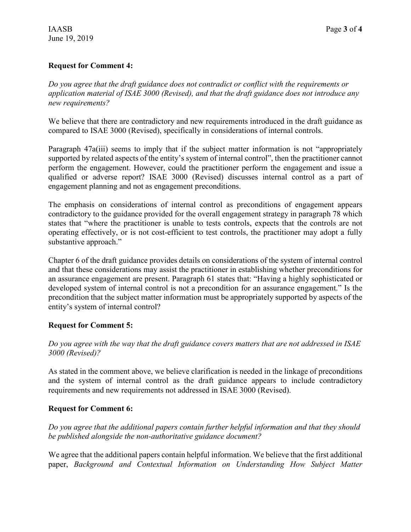## **Request for Comment 4:**

*Do you agree that the draft guidance does not contradict or conflict with the requirements or application material of ISAE 3000 (Revised), and that the draft guidance does not introduce any new requirements?*

We believe that there are contradictory and new requirements introduced in the draft guidance as compared to ISAE 3000 (Revised), specifically in considerations of internal controls.

Paragraph 47a(iii) seems to imply that if the subject matter information is not "appropriately supported by related aspects of the entity's system of internal control", then the practitioner cannot perform the engagement. However, could the practitioner perform the engagement and issue a qualified or adverse report? ISAE 3000 (Revised) discusses internal control as a part of engagement planning and not as engagement preconditions.

The emphasis on considerations of internal control as preconditions of engagement appears contradictory to the guidance provided for the overall engagement strategy in paragraph 78 which states that "where the practitioner is unable to tests controls, expects that the controls are not operating effectively, or is not cost-efficient to test controls, the practitioner may adopt a fully substantive approach."

Chapter 6 of the draft guidance provides details on considerations of the system of internal control and that these considerations may assist the practitioner in establishing whether preconditions for an assurance engagement are present. Paragraph 61 states that: "Having a highly sophisticated or developed system of internal control is not a precondition for an assurance engagement." Is the precondition that the subject matter information must be appropriately supported by aspects of the entity's system of internal control?

### **Request for Comment 5:**

*Do you agree with the way that the draft guidance covers matters that are not addressed in ISAE 3000 (Revised)?*

As stated in the comment above, we believe clarification is needed in the linkage of preconditions and the system of internal control as the draft guidance appears to include contradictory requirements and new requirements not addressed in ISAE 3000 (Revised).

### **Request for Comment 6:**

*Do you agree that the additional papers contain further helpful information and that they should be published alongside the non-authoritative guidance document?*

We agree that the additional papers contain helpful information. We believe that the first additional paper, *Background and Contextual Information on Understanding How Subject Matter*